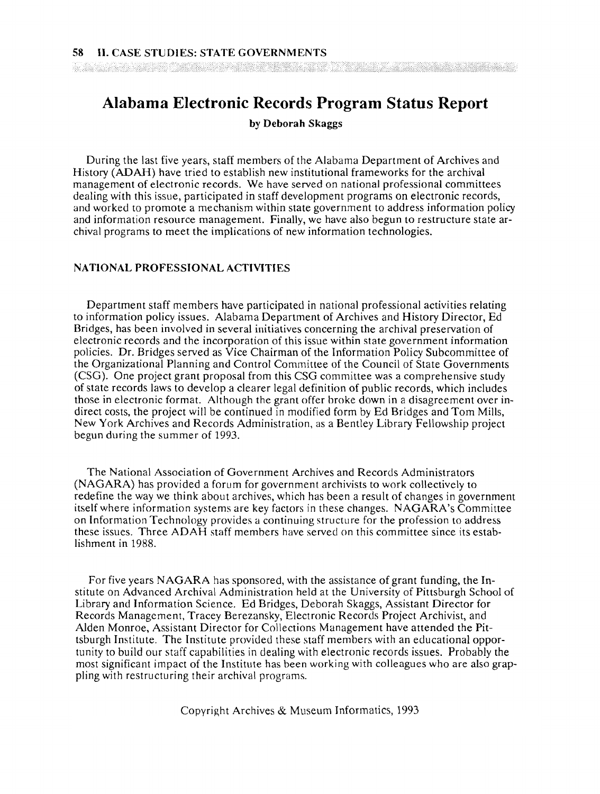# **Alabama Electronic Records Program Status Report**

**by Deborah Skaggs** 

During the last five years, staff members of the Alabama Department of Archives and History **(ADAH)** have tried to establish new institutional frameworks for the archival management of electronic records. We have served on national professional committees dealing with this issue, participated in staff development programs on electronic records, and worked to promote a mechanism within state government to address information policy and information resource management. Finally, we have also begun to restructure state archival programs to meet the implications of new information technologies.

## **NATIONAL PROFESSIONAL ACTIVITIES**

Department staff members have participated in national professional activities relating to information policy issues. Alabama Department of Archives and History Director, Ed Bridges, has been involved in several initiatives concerning the archival preservation of electronic records and the incorporation of this issue within state government information policies. Dr. Bridges served as Vice Chairman of the Information Policy Subcommittee of the Organizational Planning and Control Committee of the Council of State Governments (CSG). One project grant proposal from this CSG committee was a comprehensive study of state records laws to develop a clearer legal definition of public records, which includes those in electronic format. Although the grant offer broke down in a disagreement over indirect costs, the project will be continued in modified form by Ed Bridges and Tom Mills, New York Archives and Records Administration, as a Bentley Library Fellowship project begun during the summer of 1993.

The National Association of Government Archives and Records Administrators (NAGARA) has provided a forum for government archivists to work collectively to redefine the way we think about archives, which has been a result of changes in government itself where information systems are key factors in these changes. NAGARA's Committee on Information Technology provides a continuing structure for the profession to address these issues. Three ADAH staff members have served on this committee since its establishment in 1988.

For five years NAGARA has sponsored, with the assistance of grant funding, the Institute on Advanced Archival Administration held at the University of Pittsburgh School of Library and Information Science. Ed Bridges, Deborah Skaggs, Assistant Director for Records Management, Tracey Berezansky, Electronic Records Project Archivist, and Alden Monroe, Assistant Director for Collections Management have attended the Pittsburgh Institute. The Institute provided these staff members with an educational opportunity to build our staff capabilities in dealing with electronic records issues. Probably the most significant impact of the Institute has been working with colleagues who are also grappling with restructuring their archival programs.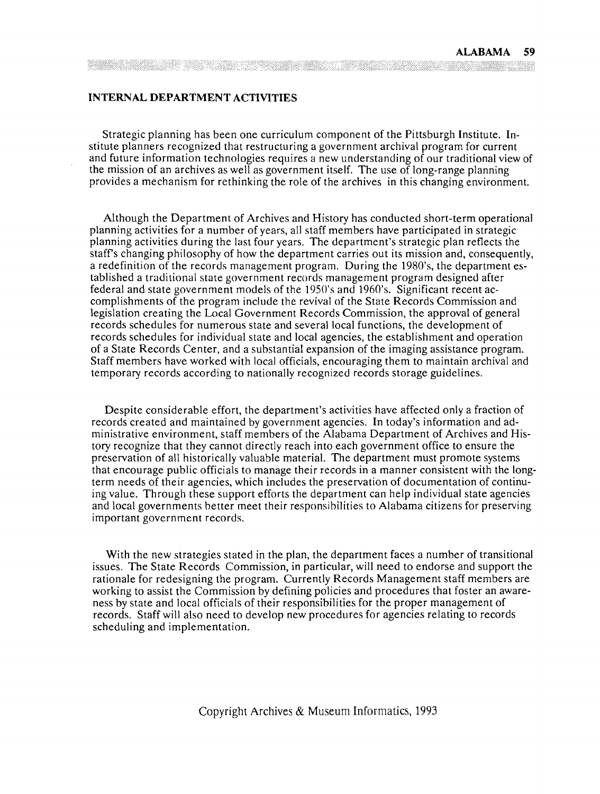# **INTERNAL DEPARTMENT ACTIVITIES**

Strategic planning has been one curriculum component of the Pittsburgh Institute. Institute planners recognized that restructuring a government archival program for current and future information technologies requires a new understanding of our traditional view of the mission of an archives as well as government itself. The use of long-range planning provides a mechanism for rethinking the role of the archives in this changing environment.

Although the Department of Archives and History has conducted short-term operational planning activities for a number of years, all staff members have participated in strategic planning activities during the last four years. The department's strategic plan reflects the staffs changing philosophy of how the department carries out its mission and, consequently, a redefinition of the records management program. During the 1980's, the department established a traditional state government records management program designed after federal and state government models of the 1950's and 1960's. Significant recent accomplishments of the program include the revival of the State Records Commission and legislation creating the Local Government Records Commission, the approval of general records schedules for numerous state and several local functions, the development of records schedules for individual state and local agencies, the establishment and operation of a State Records Center, and a substantial expansion of the imaging assistance program. Staff members have worked with local officials, encouraging them to maintain archival and temporary records according to nationally recognized records storage guidelines.

Despite considerable effort, the department's activities have affected only a fraction of records created and maintained by government agencies. In today's information and administrative environment, staff members of the Alabama Department of Archives and History recognize that they cannot directly reach into each government office to ensure the preservation of all historically valuable material. The department must promote systems that encourage public officials to manage their records in a manner consistent with the longterm needs of their agencies, which includes the preservation of documentation of continuing value. Through these support efforts the department can help individual state agencies and local governments better meet their responsibilities to Alabama citizens for preserving important government records.

With the new strategies stated in the plan, the department faces a number of transitional issues. The State Records Commission, in particular, will need to endorse and support the rationale for redesigning the program. Currently Records Management staff members are working to assist the Commission by defining policies and procedures that foster an awareness by state and local officials of their responsibilities for the proper management of records. Staff will also need to develop new procedures for agencies relating to records scheduling and implementation.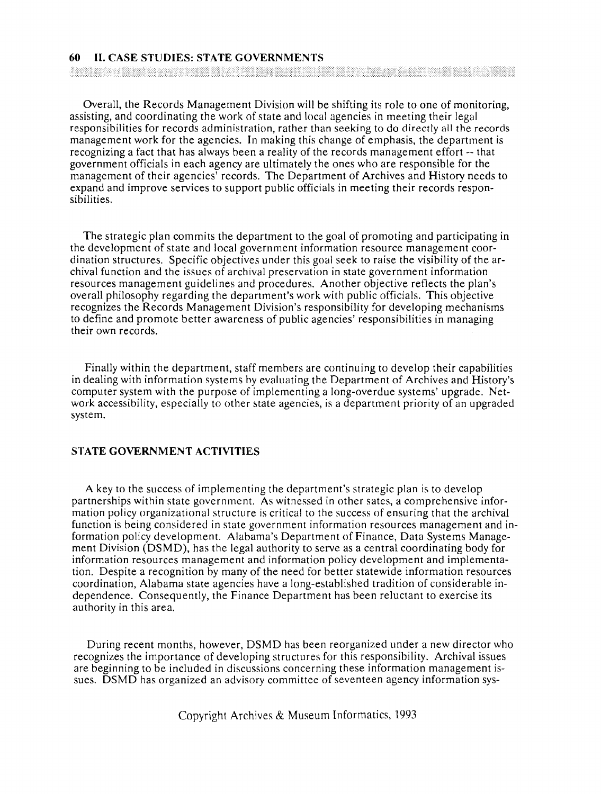#### **60 II. CASE STUDIES: STATE GOVERNMENTS**

in the contract of the contract of the contract of the contract of the contract of the contract of the contract of

Overall, the Records Management Division will be shifting its role to one of monitoring, assisting, and coordinating the work of state and local agencies in meeting their legal responsibilities for records administration, rather than seeking to do directly all the records management work for the agencies. In making this change of emphasis, the department is recognizing a fact that has always been a reality of the records management effort -- that government officials in each agency are ultimately the ones who are responsible for the management of their agencies' records. The Department of Archives and History needs to expand and improve services to support public officials in meeting their records responsibilities.

The strategic plan commits the department to the goal of promoting and participating in the development of state and local government information resource management coordination structures. Specific objectives under this goal seek to raise the visibility of the archival function and the issues of archival preservation in state government information resources management guidelines and procedures. Another objective reflects the plan's overall philosophy regarding the department's work with public officials. This objective recognizes the Records Management Division's responsibility for developing mechanisms to define and promote better awareness of public agencies' responsibilities in managing their own records.

Finally within the department, staff members are continuing to develop their capabilities in dealing with information systems by evaluating the Department of Archives and History's computer system with the purpose of implementing a long-overdue systems' upgrade. Network accessibility, especially to other state agencies, is a department priority of an upgraded system.

### **STATE GOVERNMENT ACTIVITIES**

A key to the success of implementing the department's strategic plan is to develop partnerships within state government. As witnessed in other sates, a comprehensive information policy organizational structure is critical to the success of ensuring that the archival function is being considered in state government information resources management and information policy development. Alabama's Department of Finance, Data Systems Management Division (DSMD), has the legal authority to serve as a central coordinating body for information resources management and information policy development and implementation. Despite a recognition by many of the need for better statewide information resources coordination, Alabama state agencies have a long-established tradition of considerable independence. consequently, the Finance Department has been reluctant to exercise its authority in this area.

During recent months, however, DSMD has been reorganized under a new director who recognizes the importance of developing structures for this responsibility. Archival issues are beginning to be included in discussions concerning these information management issues. DSMD has organized an advisory committee of seventeen agency information sys-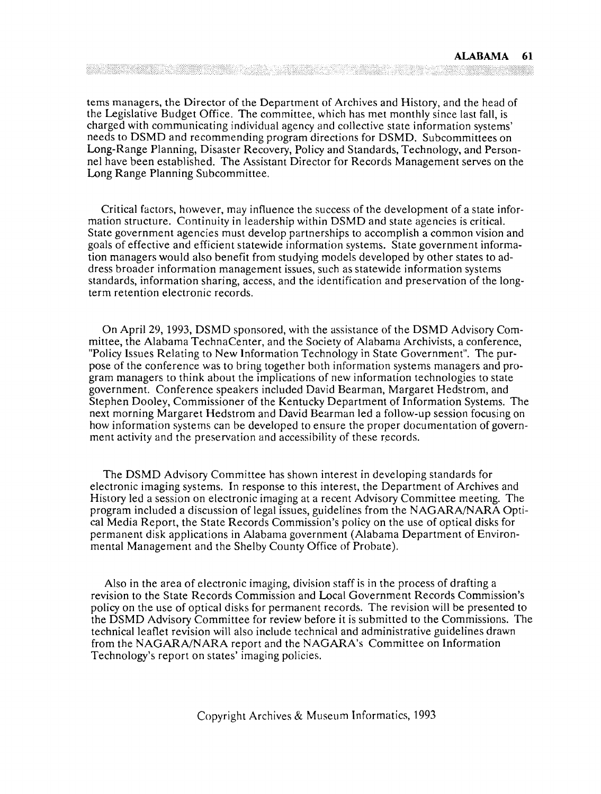tems managers, the Director of the Department of Archives and History, and the head of the Legislative Budget Office. The committee, which has met monthly since last fall, is charged with communicating individual agency and collective state information systems' needs to DSMD and recommending program directions for DSMD. Subcommittees on Long-Range Planning, Disaster Recovery, Policy and Standards, Technology, and Personnel have been established. The Assistant Director for Records Management serves on the Long Range Planning Subcommittee.

Critical factors, however, may influence the success of the development of a state information structure. Continuity in leadership within DSMD and state agencies is critical. State government agencies must develop partnerships to accomplish a common vision and goals of effective and efficient statewide information systems. State government information managers would also benefit from studying models developed by other states to address broader information management issues, such as statewide information systems standards, information sharing, access, and the identification and preservation of the longterm retention electronic records.

On April 29, 1993, DSMD sponsored, with the assistance of the DSMD Advisory Committee, the Alabama TechnaCenter, and the Society of Alabama Archivists, a conference, "Policy Issues Relating to New Information Technology in State Government". The purpose of the conference was to bring together both information systems managers and program managers to think about the implications of new information technologies to state government. Conference speakers included David Bearman, Margaret Hedstrom, and Stephen Dooley, Commissioner of the Kentucky Department of Information Systems. The next morning Margaret Hedstrom and David Bearman led a follow-up session focusing on how information systems can be developed to ensure the proper documentation of government activity and the preservation and accessibility of these records.

The DSMD Advisory Committee has shown interest in developing standards for electronic imaging systems. In response to this interest, the Department of Archives and History led a session on electronic imaging at a recent Advisory Committee meeting. The program included a discussion of legal issues, guidelines from the NAGARNNARA Optical Media Report, the State Records Commission's policy on the use of optical disks for permanent disk applications in Alabama government (Alabama Department of Environmental Management and the Shelby County Office of Probate).

Also in the area of electronic imaging, division staff is in the process of drafting a revision to the State Records Commission and Local Government Records Commission's policy on the use of optical disks for permanent records. The revision will be presented to the DSMD Advisory Committee for review before it is submitted to the Commissions. The technical leaflet revision will also include technical and administrative guidelines drawn from the NAGARA/NARA report and the NAGARA's Committee on Information Technology's report on states' imaging policies.